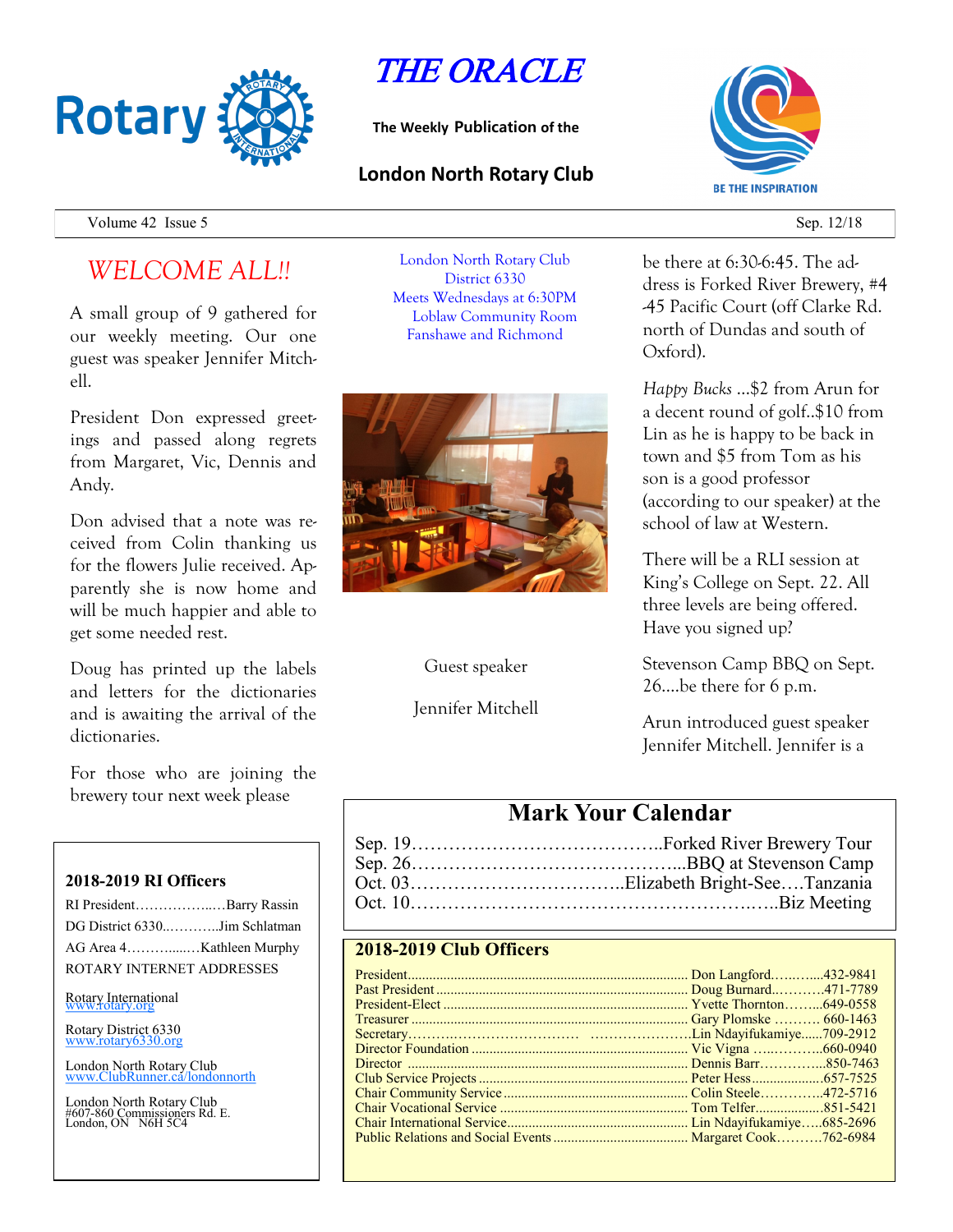

# THE ORACLE

**The Weekly Publication of the**

#### **London North Rotary Club**



Volume 42 Issue 5 Sep. 12/18

## *WELCOME ALL!!*

A small group of 9 gathered for our weekly meeting. Our one guest was speaker Jennifer Mitchell.

President Don expressed greetings and passed along regrets from Margaret, Vic, Dennis and Andy.

Don advised that a note was received from Colin thanking us for the flowers Julie received. Apparently she is now home and will be much happier and able to get some needed rest.

Doug has printed up the labels and letters for the dictionaries and is awaiting the arrival of the dictionaries.

For those who are joining the brewery tour next week please

#### **2018-2019 RI Officers**

| RI PresidentBarry Rassin      |  |
|-------------------------------|--|
| DG District 6330Jim Schlatman |  |
| AG Area 4Kathleen Murphy      |  |
| ROTARY INTERNET ADDRESSES     |  |

Rotary International

Rotary District 6330 [www.rotary6330.org](http://www.rotary6330.org/)

London North Rotary Club IubRunner.ca/londonnorth

London North Rotary Club #607-860 Commissioners Rd. E. London, ON N6H 5C4

London North Rotary Club District 6330 Meets Wednesdays at 6:30PM Loblaw Community Room Fanshawe and Richmond



Guest speaker

Jennifer Mitchell

#### be there at 6:30-6:45. The address is Forked River Brewery, #4 -45 Pacific Court (off Clarke Rd. north of Dundas and south of Oxford).

*Happy Bucks* …\$2 from Arun for a decent round of golf..\$10 from Lin as he is happy to be back in town and \$5 from Tom as his son is a good professor (according to our speaker) at the school of law at Western.

There will be a RLI session at King's College on Sept. 22. All three levels are being offered. Have you signed up?

Stevenson Camp BBQ on Sept. 26….be there for 6 p.m.

Arun introduced guest speaker Jennifer Mitchell. Jennifer is a

### **Mark Your Calendar**

#### **2018-2019 Club Officers**